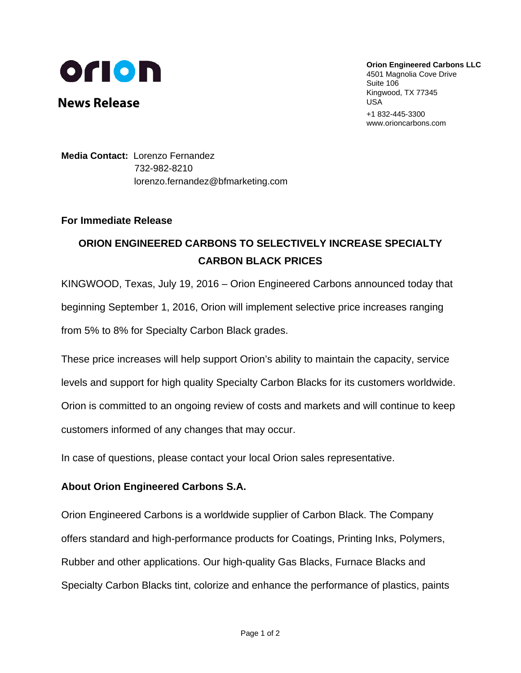

**News Release** 

**Orion Engineered Carbons LLC**  4501 Magnolia Cove Drive Suite 106 Kingwood, TX 77345 USA +1 832-445-3300

www.orioncarbons.com

**Media Contact:** Lorenzo Fernandez 732-982-8210 lorenzo.fernandez@bfmarketing.com

## **For Immediate Release**

## **ORION ENGINEERED CARBONS TO SELECTIVELY INCREASE SPECIALTY CARBON BLACK PRICES**

KINGWOOD, Texas, July 19, 2016 – Orion Engineered Carbons announced today that beginning September 1, 2016, Orion will implement selective price increases ranging from 5% to 8% for Specialty Carbon Black grades.

These price increases will help support Orion's ability to maintain the capacity, service levels and support for high quality Specialty Carbon Blacks for its customers worldwide. Orion is committed to an ongoing review of costs and markets and will continue to keep customers informed of any changes that may occur.

In case of questions, please contact your local Orion sales representative.

## **About Orion Engineered Carbons S.A.**

Orion Engineered Carbons is a worldwide supplier of Carbon Black. The Company offers standard and high-performance products for Coatings, Printing Inks, Polymers, Rubber and other applications. Our high-quality Gas Blacks, Furnace Blacks and Specialty Carbon Blacks tint, colorize and enhance the performance of plastics, paints